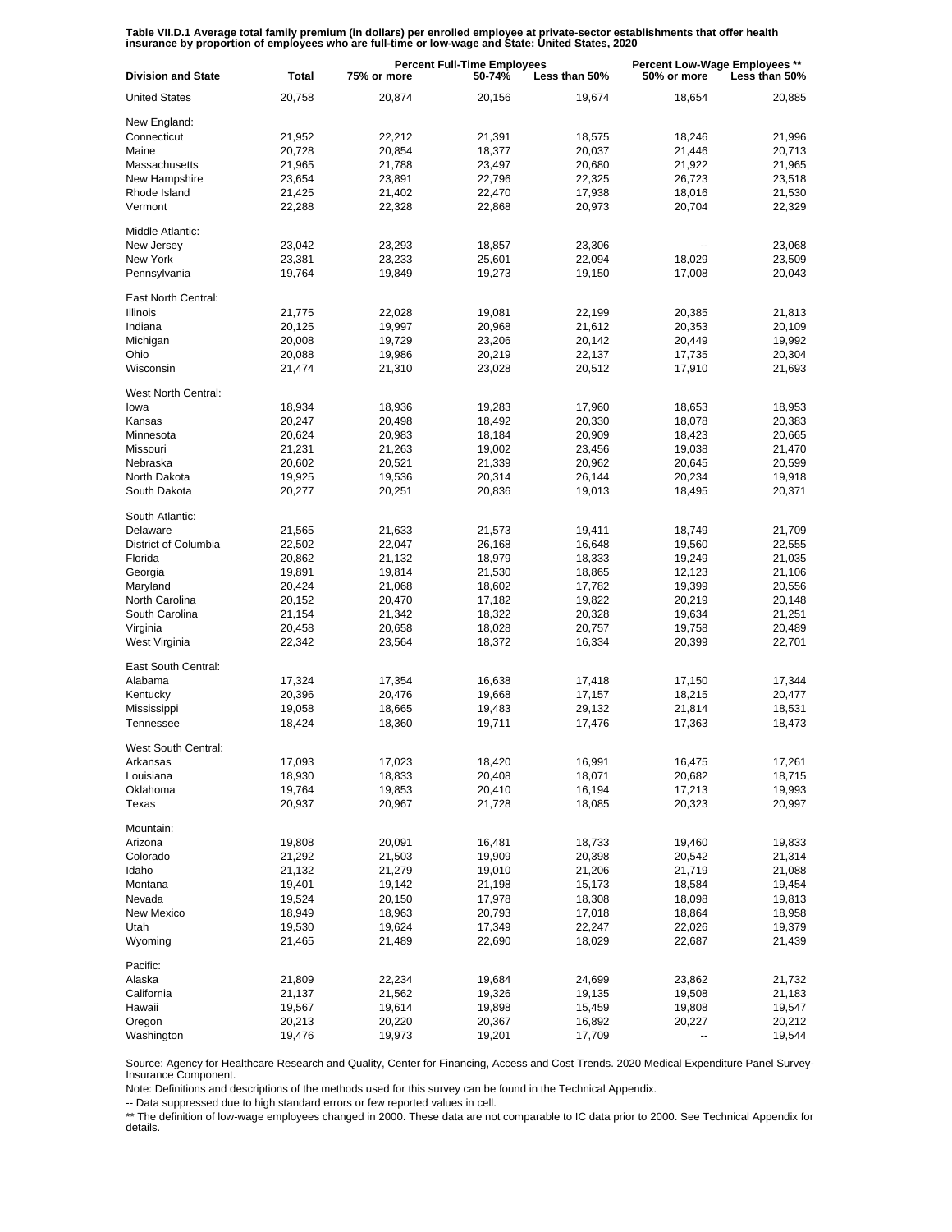Table VII.D.1 Average total family premium (in dollars) per enrolled employee at private-sector establishments that offer health<br>insurance by proportion of employees who are full-time or low-wage and State: United States,

| <b>Division and State</b> | <b>Total</b> | 75% or more | <b>Percent Full-Time Employees</b><br>50-74%<br>Less than 50% |        | Percent Low-Wage Employees **<br>50% or more<br>Less than 50% |        |
|---------------------------|--------------|-------------|---------------------------------------------------------------|--------|---------------------------------------------------------------|--------|
| <b>United States</b>      | 20,758       | 20,874      | 20,156                                                        | 19,674 | 18,654                                                        | 20,885 |
| New England:              |              |             |                                                               |        |                                                               |        |
| Connecticut               | 21,952       | 22,212      | 21,391                                                        | 18,575 | 18,246                                                        | 21,996 |
| Maine                     | 20,728       | 20,854      | 18,377                                                        | 20,037 | 21,446                                                        | 20,713 |
| Massachusetts             | 21,965       | 21,788      | 23,497                                                        | 20,680 | 21,922                                                        | 21,965 |
| New Hampshire             | 23,654       | 23,891      | 22,796                                                        | 22,325 | 26,723                                                        | 23,518 |
| Rhode Island              | 21,425       | 21,402      | 22,470                                                        | 17,938 | 18,016                                                        | 21,530 |
| Vermont                   | 22,288       | 22,328      | 22,868                                                        | 20,973 | 20,704                                                        | 22,329 |
| Middle Atlantic:          |              |             |                                                               |        |                                                               |        |
| New Jersey                | 23,042       | 23,293      | 18,857                                                        | 23,306 |                                                               | 23,068 |
| New York                  | 23,381       | 23,233      | 25,601                                                        | 22,094 | 18,029                                                        | 23,509 |
| Pennsylvania              | 19,764       | 19,849      | 19,273                                                        | 19,150 | 17,008                                                        | 20,043 |
| East North Central:       |              |             |                                                               |        |                                                               |        |
| <b>Illinois</b>           | 21,775       | 22,028      | 19,081                                                        | 22,199 | 20,385                                                        | 21,813 |
| Indiana                   | 20,125       | 19,997      | 20,968                                                        | 21,612 | 20,353                                                        | 20,109 |
| Michigan                  | 20,008       | 19,729      | 23,206                                                        | 20,142 | 20,449                                                        | 19,992 |
| Ohio                      | 20,088       | 19,986      | 20,219                                                        | 22,137 | 17,735                                                        | 20,304 |
| Wisconsin                 | 21,474       | 21,310      | 23,028                                                        | 20,512 | 17,910                                                        | 21,693 |
| West North Central:       |              |             |                                                               |        |                                                               |        |
| lowa                      | 18,934       | 18,936      | 19,283                                                        | 17,960 | 18,653                                                        | 18,953 |
| Kansas                    | 20,247       | 20,498      | 18,492                                                        | 20,330 | 18,078                                                        | 20,383 |
| Minnesota                 | 20,624       | 20,983      | 18,184                                                        | 20,909 | 18,423                                                        | 20,665 |
| Missouri                  | 21,231       | 21,263      | 19,002                                                        | 23,456 | 19,038                                                        | 21,470 |
| Nebraska                  | 20,602       | 20,521      | 21,339                                                        | 20,962 | 20,645                                                        | 20,599 |
| North Dakota              | 19,925       | 19,536      | 20,314                                                        | 26,144 | 20,234                                                        | 19,918 |
| South Dakota              | 20,277       | 20,251      | 20,836                                                        | 19,013 | 18,495                                                        | 20,371 |
| South Atlantic:           |              |             |                                                               |        |                                                               |        |
| Delaware                  | 21,565       | 21,633      | 21,573                                                        | 19,411 | 18,749                                                        | 21,709 |
| District of Columbia      | 22,502       | 22,047      | 26,168                                                        | 16,648 | 19,560                                                        | 22,555 |
| Florida                   | 20,862       | 21,132      | 18,979                                                        | 18,333 | 19,249                                                        | 21,035 |
| Georgia                   | 19,891       | 19,814      | 21,530                                                        | 18,865 | 12,123                                                        | 21,106 |
| Maryland                  | 20,424       | 21,068      | 18,602                                                        | 17,782 | 19,399                                                        | 20,556 |
| North Carolina            | 20,152       | 20,470      | 17,182                                                        | 19,822 | 20,219                                                        | 20,148 |
| South Carolina            | 21,154       | 21,342      | 18,322                                                        | 20,328 | 19,634                                                        | 21,251 |
| Virginia                  | 20,458       | 20,658      | 18,028                                                        | 20,757 | 19,758                                                        | 20,489 |
| West Virginia             | 22,342       | 23,564      | 18,372                                                        | 16,334 | 20,399                                                        | 22,701 |
| East South Central:       |              |             |                                                               |        |                                                               |        |
| Alabama                   | 17,324       | 17,354      | 16,638                                                        | 17,418 | 17,150                                                        | 17,344 |
| Kentucky                  | 20,396       | 20,476      | 19,668                                                        | 17,157 | 18,215                                                        | 20,477 |
| Mississippi               | 19,058       | 18,665      | 19,483                                                        | 29,132 | 21,814                                                        | 18,531 |
| Tennessee                 | 18,424       | 18,360      | 19,711                                                        | 17,476 | 17,363                                                        | 18,473 |
| West South Central:       |              |             |                                                               |        |                                                               |        |
| Arkansas                  | 17,093       | 17,023      | 18,420                                                        | 16,991 | 16,475                                                        | 17,261 |
| Louisiana                 | 18,930       | 18,833      | 20,408                                                        | 18,071 | 20,682                                                        | 18,715 |
| Oklahoma                  | 19,764       | 19,853      | 20,410                                                        | 16,194 | 17,213                                                        | 19,993 |
| Texas                     | 20,937       | 20,967      | 21,728                                                        | 18,085 | 20,323                                                        | 20,997 |
| Mountain:                 |              |             |                                                               |        |                                                               |        |
| Arizona                   | 19,808       | 20,091      | 16,481                                                        | 18,733 | 19,460                                                        | 19,833 |
| Colorado                  | 21,292       | 21,503      | 19,909                                                        | 20,398 | 20,542                                                        | 21,314 |
| Idaho                     | 21,132       | 21,279      | 19,010                                                        | 21,206 | 21,719                                                        | 21,088 |
| Montana                   | 19,401       | 19,142      | 21,198                                                        | 15,173 | 18,584                                                        | 19,454 |
| Nevada                    | 19,524       | 20,150      | 17,978                                                        | 18,308 | 18,098                                                        | 19,813 |
| New Mexico                | 18,949       | 18,963      | 20,793                                                        | 17,018 | 18,864                                                        | 18,958 |
| Utah                      | 19,530       | 19,624      | 17,349                                                        | 22,247 | 22,026                                                        | 19,379 |
| Wyoming                   | 21,465       | 21,489      | 22,690                                                        | 18,029 | 22,687                                                        | 21,439 |
| Pacific:                  |              |             |                                                               |        |                                                               |        |
| Alaska                    | 21,809       | 22,234      | 19,684                                                        | 24,699 | 23,862                                                        | 21,732 |
| California                | 21,137       | 21,562      | 19,326                                                        | 19,135 | 19,508                                                        | 21,183 |
| Hawaii                    | 19,567       | 19,614      | 19,898                                                        | 15,459 | 19,808                                                        | 19,547 |
| Oregon                    | 20,213       | 20,220      | 20,367                                                        | 16,892 | 20,227                                                        | 20,212 |
| Washington                | 19,476       | 19,973      | 19,201                                                        | 17,709 |                                                               | 19,544 |

Source: Agency for Healthcare Research and Quality, Center for Financing, Access and Cost Trends. 2020 Medical Expenditure Panel Survey-Insurance Component.

Note: Definitions and descriptions of the methods used for this survey can be found in the Technical Appendix.

-- Data suppressed due to high standard errors or few reported values in cell.

\*\* The definition of low-wage employees changed in 2000. These data are not comparable to IC data prior to 2000. See Technical Appendix for details.